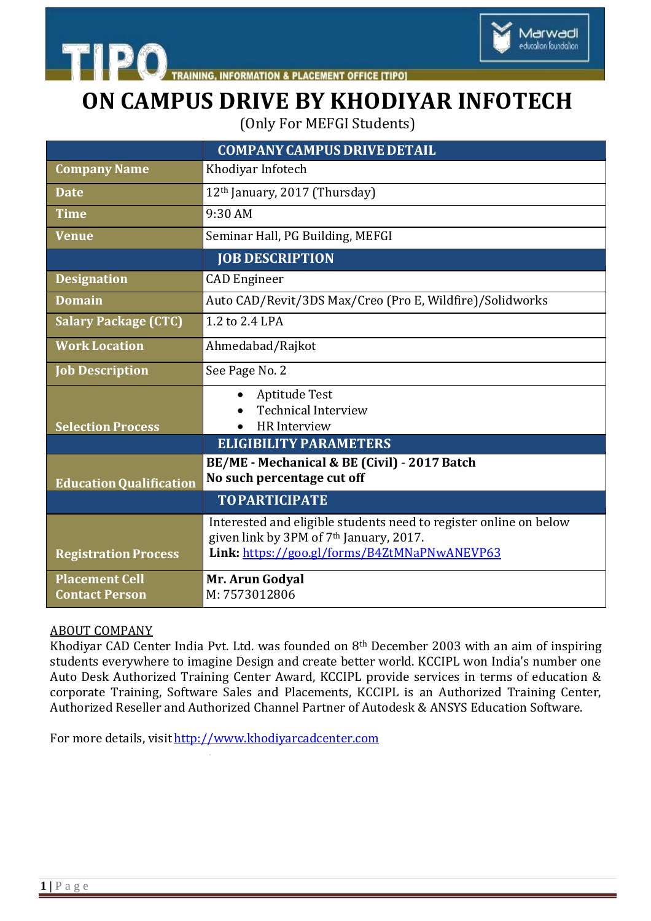

**INFORMATION & PLACEMENT OFFICE [TIPO]** 

## **ON CAMPUS DRIVE BY KHODIYAR INFOTECH**

Marwadi

education foundation

(Only For MEFGI Students)

| <b>COMPANY CAMPUS DRIVE DETAIL</b>                                                                  |
|-----------------------------------------------------------------------------------------------------|
| Khodiyar Infotech                                                                                   |
| 12 <sup>th</sup> January, 2017 (Thursday)                                                           |
| 9:30 AM                                                                                             |
| Seminar Hall, PG Building, MEFGI                                                                    |
| <b>JOB DESCRIPTION</b>                                                                              |
| <b>CAD</b> Engineer                                                                                 |
| Auto CAD/Revit/3DS Max/Creo (Pro E, Wildfire)/Solidworks                                            |
| 1.2 to 2.4 LPA                                                                                      |
| Ahmedabad/Rajkot                                                                                    |
| See Page No. 2                                                                                      |
| Aptitude Test                                                                                       |
| <b>Technical Interview</b><br><b>HR</b> Interview                                                   |
| <b>ELIGIBILITY PARAMETERS</b>                                                                       |
| BE/ME - Mechanical & BE (Civil) - 2017 Batch                                                        |
| No such percentage cut off                                                                          |
| <b>TOPARTICIPATE</b>                                                                                |
| Interested and eligible students need to register online on below                                   |
| given link by 3PM of 7 <sup>th</sup> January, 2017.<br>Link: https://goo.gl/forms/B4ZtMNaPNwANEVP63 |
|                                                                                                     |
| Mr. Arun Godyal<br>M: 7573012806                                                                    |
|                                                                                                     |

## ABOUT COMPANY

Khodiyar CAD Center India Pvt. Ltd. was founded on 8th December 2003 with an aim of inspiring students everywhere to imagine Design and create better world. KCCIPL won India's number one Auto Desk Authorized Training Center Award, KCCIPL provide services in terms of education & corporate Training, Software Sales and Placements, KCCIPL is an Authorized Training Center, Authorized Reseller and Authorized Channel Partner of Autodesk & ANSYS Education Software.

For more details, visit [http://www.khodiyarcadcenter.com](http://www.khodiyarcadcenter.com/)